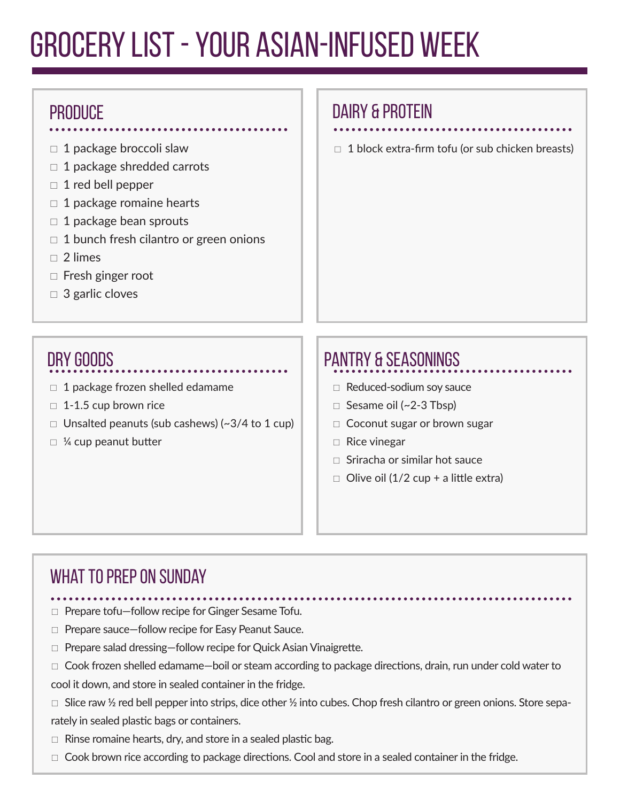# Grocery List - Your Asian-Infused Week

#### **PRODUCE**

- $\Box$  1 package broccoli slaw
- $\Box$  1 package shredded carrots
- $\Box$  1 red bell pepper
- $\Box$  1 package romaine hearts
- $\Box$  1 package bean sprouts
- $\Box$  1 bunch fresh cilantro or green onions
- $\Box$  2 limes
- $\Box$  Fresh ginger root
- □ 3 garlic cloves

### DAIRY & PROTEIN

 $\Box$  1 block extra-firm tofu (or sub chicken breasts)

## Dry Goods

- $\Box$  1 package frozen shelled edamame
- $\Box$  1-1.5 cup brown rice
- $\Box$  Unsalted peanuts (sub cashews) (~3/4 to 1 cup)
- $\Box$  ¼ cup peanut butter

## PANTRY & SEASONINGS

- $\Box$  Reduced-sodium soy sauce
- $\Box$  Sesame oil (~2-3 Tbsp)
- □ Coconut sugar or brown sugar
- $\Box$  Rice vinegar
- $\Box$  Sriracha or similar hot sauce
- $\Box$  Olive oil (1/2 cup + a little extra)

#### WHAT TO PREP ON SUNDAY

- □ Prepare tofu–follow recipe for Ginger Sesame Tofu.
- □ Prepare sauce-follow recipe for Easy Peanut Sauce.
- $\Box$  Prepare salad dressing-follow recipe for Quick Asian Vinaigrette.
- $\Box$  Cook frozen shelled edamame—boil or steam according to package directions, drain, run under cold water to cool it down, and store in sealed container in the fridge.
- $\Box$  Slice raw ½ red bell pepper into strips, dice other ½ into cubes. Chop fresh cilantro or green onions. Store separately in sealed plastic bags or containers.
- $\Box$  Rinse romaine hearts, dry, and store in a sealed plastic bag.
- $\Box$  Cook brown rice according to package directions. Cool and store in a sealed container in the fridge.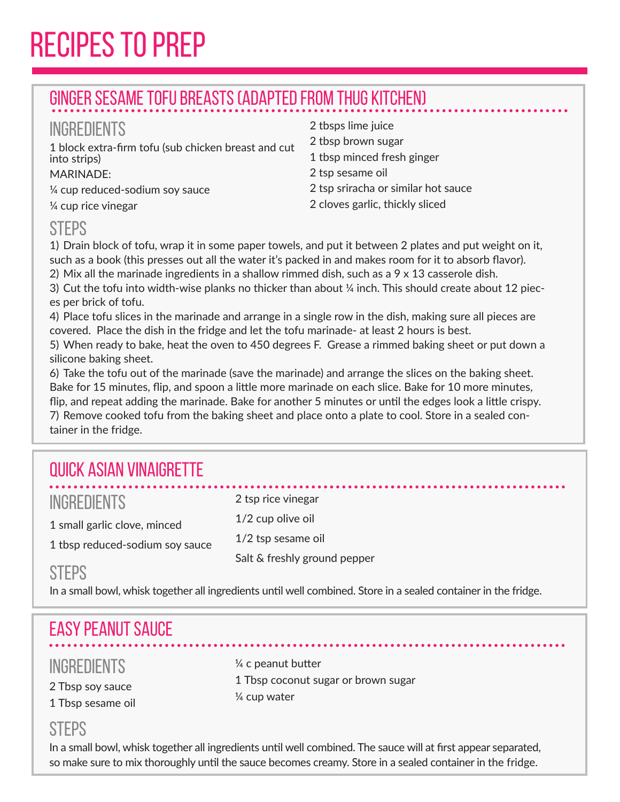# Recipes to Prep

### Ginger Sesame Tofu Breasts (Adapted from Thug Kitchen)

#### **INGREDIENTS**

1 block extra-firm tofu (sub chicken breast and cut into strips)

#### MARINADE:

¼ cup reduced-sodium soy sauce

¼ cup rice vinegar

#### 2 tbsps lime juice 2 tbsp brown sugar 1 tbsp minced fresh ginger 2 tsp sesame oil 2 tsp sriracha or similar hot sauce 2 cloves garlic, thickly sliced

#### **STEPS**

1) Drain block of tofu, wrap it in some paper towels, and put it between 2 plates and put weight on it, such as a book (this presses out all the water it's packed in and makes room for it to absorb flavor). 2) Mix all the marinade ingredients in a shallow rimmed dish, such as a 9 x 13 casserole dish.

3) Cut the tofu into width-wise planks no thicker than about ¼ inch. This should create about 12 pieces per brick of tofu.

4) Place tofu slices in the marinade and arrange in a single row in the dish, making sure all pieces are covered. Place the dish in the fridge and let the tofu marinade- at least 2 hours is best.

5) When ready to bake, heat the oven to 450 degrees F. Grease a rimmed baking sheet or put down a silicone baking sheet.

6) Take the tofu out of the marinade (save the marinade) and arrange the slices on the baking sheet. Bake for 15 minutes, flip, and spoon a little more marinade on each slice. Bake for 10 more minutes, flip, and repeat adding the marinade. Bake for another 5 minutes or until the edges look a little crispy. 7) Remove cooked tofu from the baking sheet and place onto a plate to cool. Store in a sealed container in the fridge.

## Quick Asian Vinaigrette

| <b>INGREDIENTS</b>              |
|---------------------------------|
| 1 small garlic clove, minced    |
| 1 tbsp reduced-sodium soy sauce |

2 tsp rice vinegar 1/2 cup olive oil 1/2 tsp sesame oil Salt & freshly ground pepper

#### **STFPS**

In a small bowl, whisk together all ingredients until well combined. Store in a sealed container in the fridge.

## Easy Peanut Sauce

#### **INGREDIENTS**

2 Tbsp soy sauce 1 Tbsp sesame oil ¼ c peanut butter 1 Tbsp coconut sugar or brown sugar ¼ cup water

#### **STEPS**

In a small bowl, whisk together all ingredients until well combined. The sauce will at first appear separated, so make sure to mix thoroughly until the sauce becomes creamy. Store in a sealed container in the fridge.